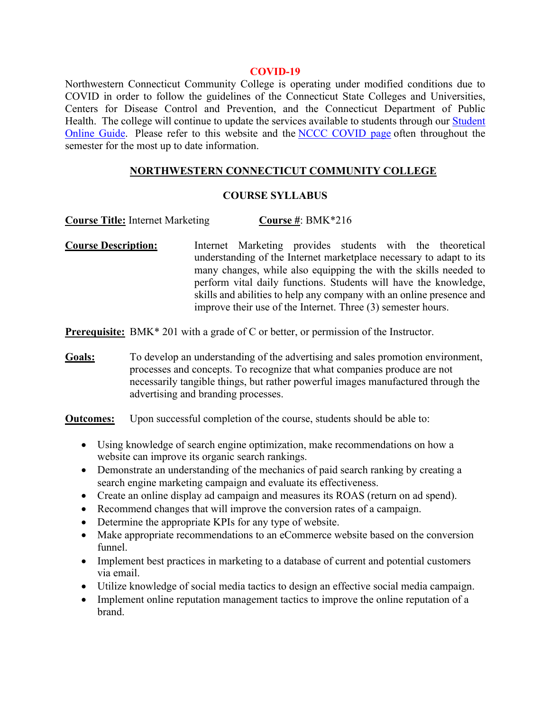#### **COVID-19**

Northwestern Connecticut Community College is operating under modified conditions due to COVID in order to follow the guidelines of the Connecticut State Colleges and Universities, Centers for Disease Control and Prevention, and the Connecticut Department of Public Health. The college will continue to update the services available to students through our Student Online Guide. Please refer to this website and the NCCC COVID page often throughout the semester for the most up to date information.

### **NORTHWESTERN CONNECTICUT COMMUNITY COLLEGE**

### **COURSE SYLLABUS**

**Course Title:** Internet Marketing **Course #**: BMK\*216

**Course Description:** Internet Marketing provides students with the theoretical understanding of the Internet marketplace necessary to adapt to its many changes, while also equipping the with the skills needed to perform vital daily functions. Students will have the knowledge, skills and abilities to help any company with an online presence and improve their use of the Internet. Three (3) semester hours.

**Prerequisite:** BMK\* 201 with a grade of C or better, or permission of the Instructor.

**Goals:** To develop an understanding of the advertising and sales promotion environment, processes and concepts. To recognize that what companies produce are not necessarily tangible things, but rather powerful images manufactured through the advertising and branding processes.

**Outcomes:** Upon successful completion of the course, students should be able to:

- Using knowledge of search engine optimization, make recommendations on how a website can improve its organic search rankings.
- Demonstrate an understanding of the mechanics of paid search ranking by creating a search engine marketing campaign and evaluate its effectiveness.
- Create an online display ad campaign and measures its ROAS (return on ad spend).
- Recommend changes that will improve the conversion rates of a campaign.
- Determine the appropriate KPIs for any type of website.
- Make appropriate recommendations to an eCommerce website based on the conversion funnel.
- Implement best practices in marketing to a database of current and potential customers via email.
- Utilize knowledge of social media tactics to design an effective social media campaign.
- Implement online reputation management tactics to improve the online reputation of a brand.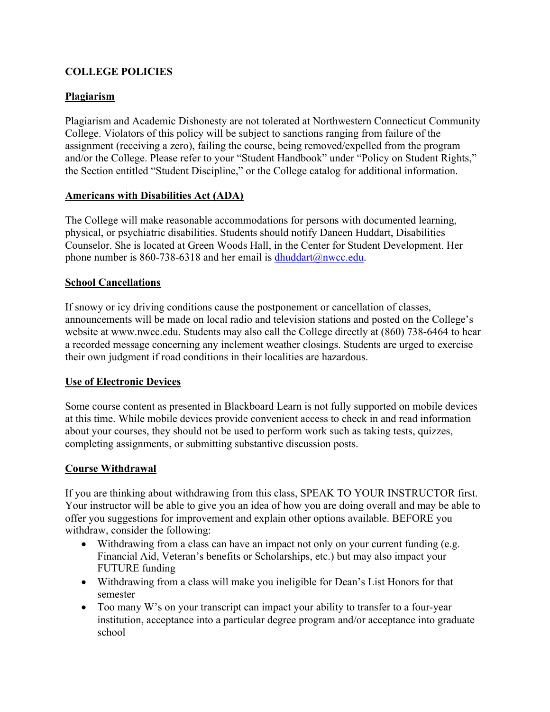# **COLLEGE POLICIES**

## **Plagiarism**

Plagiarism and Academic Dishonesty are not tolerated at Northwestern Connecticut Community College. Violators of this policy will be subject to sanctions ranging from failure of the assignment (receiving a zero), failing the course, being removed/expelled from the program and/or the College. Please refer to your "Student Handbook" under "Policy on Student Rights," the Section entitled "Student Discipline," or the College catalog for additional information.

## **Americans with Disabilities Act (ADA)**

The College will make reasonable accommodations for persons with documented learning, physical, or psychiatric disabilities. Students should notify Daneen Huddart, Disabilities Counselor. She is located at Green Woods Hall, in the Center for Student Development. Her phone number is 860-738-6318 and her email is  $d$ huddart@nwcc.edu.

### **School Cancellations**

If snowy or icy driving conditions cause the postponement or cancellation of classes, announcements will be made on local radio and television stations and posted on the College's website at www.nwcc.edu. Students may also call the College directly at (860) 738-6464 to hear a recorded message concerning any inclement weather closings. Students are urged to exercise their own judgment if road conditions in their localities are hazardous.

## **Use of Electronic Devices**

Some course content as presented in Blackboard Learn is not fully supported on mobile devices at this time. While mobile devices provide convenient access to check in and read information about your courses, they should not be used to perform work such as taking tests, quizzes, completing assignments, or submitting substantive discussion posts.

#### **Course Withdrawal**

If you are thinking about withdrawing from this class, SPEAK TO YOUR INSTRUCTOR first. Your instructor will be able to give you an idea of how you are doing overall and may be able to offer you suggestions for improvement and explain other options available. BEFORE you withdraw, consider the following:

- Withdrawing from a class can have an impact not only on your current funding (e.g. Financial Aid, Veteran's benefits or Scholarships, etc.) but may also impact your FUTURE funding
- Withdrawing from a class will make you ineligible for Dean's List Honors for that semester
- Too many W's on your transcript can impact your ability to transfer to a four-year institution, acceptance into a particular degree program and/or acceptance into graduate school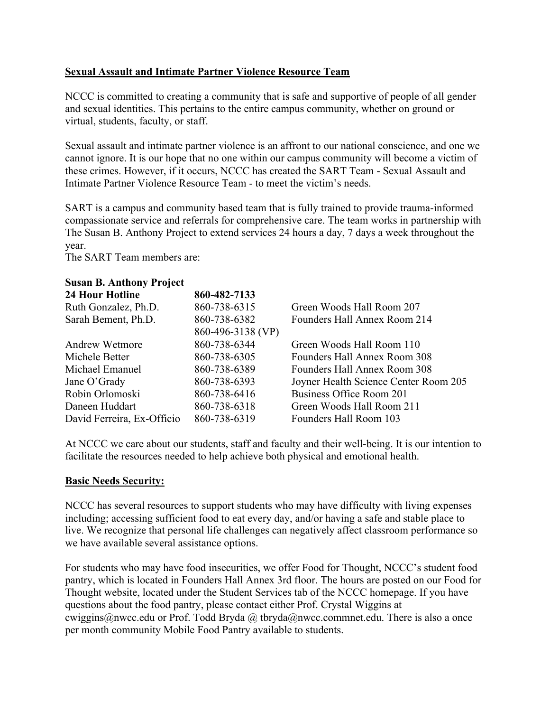## **Sexual Assault and Intimate Partner Violence Resource Team**

NCCC is committed to creating a community that is safe and supportive of people of all gender and sexual identities. This pertains to the entire campus community, whether on ground or virtual, students, faculty, or staff.

Sexual assault and intimate partner violence is an affront to our national conscience, and one we cannot ignore. It is our hope that no one within our campus community will become a victim of these crimes. However, if it occurs, NCCC has created the SART Team - Sexual Assault and Intimate Partner Violence Resource Team - to meet the victim's needs.

SART is a campus and community based team that is fully trained to provide trauma-informed compassionate service and referrals for comprehensive care. The team works in partnership with The Susan B. Anthony Project to extend services 24 hours a day, 7 days a week throughout the year.

The SART Team members are:

### **Susan B. Anthony Project**

| <b>24 Hour Hotline</b>     | 860-482-7133      |                                       |
|----------------------------|-------------------|---------------------------------------|
| Ruth Gonzalez, Ph.D.       | 860-738-6315      | Green Woods Hall Room 207             |
| Sarah Bement, Ph.D.        | 860-738-6382      | Founders Hall Annex Room 214          |
|                            | 860-496-3138 (VP) |                                       |
| <b>Andrew Wetmore</b>      | 860-738-6344      | Green Woods Hall Room 110             |
| Michele Better             | 860-738-6305      | Founders Hall Annex Room 308          |
| Michael Emanuel            | 860-738-6389      | Founders Hall Annex Room 308          |
| Jane O'Grady               | 860-738-6393      | Joyner Health Science Center Room 205 |
| Robin Orlomoski            | 860-738-6416      | Business Office Room 201              |
| Daneen Huddart             | 860-738-6318      | Green Woods Hall Room 211             |
| David Ferreira, Ex-Officio | 860-738-6319      | Founders Hall Room 103                |
|                            |                   |                                       |

At NCCC we care about our students, staff and faculty and their well-being. It is our intention to facilitate the resources needed to help achieve both physical and emotional health.

## **Basic Needs Security:**

NCCC has several resources to support students who may have difficulty with living expenses including; accessing sufficient food to eat every day, and/or having a safe and stable place to live. We recognize that personal life challenges can negatively affect classroom performance so we have available several assistance options.

For students who may have food insecurities, we offer Food for Thought, NCCC's student food pantry, which is located in Founders Hall Annex 3rd floor. The hours are posted on our Food for Thought website, located under the Student Services tab of the NCCC homepage. If you have questions about the food pantry, please contact either Prof. Crystal Wiggins at cwiggins@nwcc.edu or Prof. Todd Bryda @ tbryda@nwcc.commnet.edu. There is also a once per month community Mobile Food Pantry available to students.